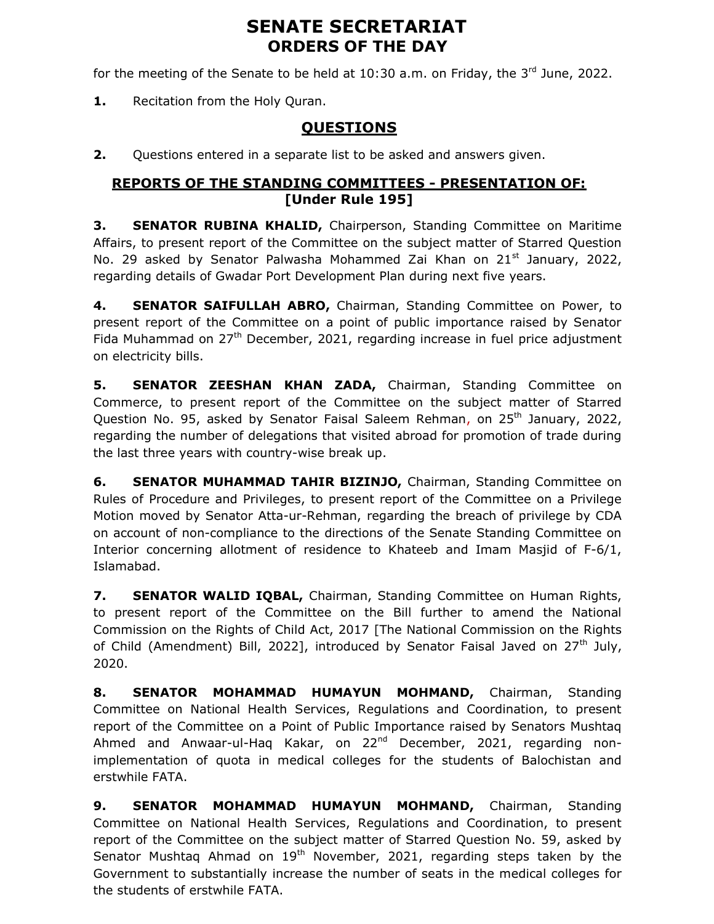# SENATE SECRETARIAT ORDERS OF THE DAY

for the meeting of the Senate to be held at  $10:30$  a.m. on Friday, the  $3<sup>rd</sup>$  June, 2022.

1. Recitation from the Holy Quran.

# QUESTIONS

**2.** Questions entered in a separate list to be asked and answers given.

# REPORTS OF THE STANDING COMMITTEES - PRESENTATION OF: [Under Rule 195]

**3. SENATOR RUBINA KHALID, Chairperson, Standing Committee on Maritime** Affairs, to present report of the Committee on the subject matter of Starred Question No. 29 asked by Senator Palwasha Mohammed Zai Khan on  $21^{st}$  January, 2022, regarding details of Gwadar Port Development Plan during next five years.

4. **SENATOR SAIFULLAH ABRO,** Chairman, Standing Committee on Power, to present report of the Committee on a point of public importance raised by Senator Fida Muhammad on  $27<sup>th</sup>$  December, 2021, regarding increase in fuel price adjustment on electricity bills.

5. SENATOR ZEESHAN KHAN ZADA, Chairman, Standing Committee on Commerce, to present report of the Committee on the subject matter of Starred Question No. 95, asked by Senator Faisal Saleem Rehman, on 25<sup>th</sup> January, 2022, regarding the number of delegations that visited abroad for promotion of trade during the last three years with country-wise break up.

**6.** SENATOR MUHAMMAD TAHIR BIZINJO, Chairman, Standing Committee on Rules of Procedure and Privileges, to present report of the Committee on a Privilege Motion moved by Senator Atta-ur-Rehman, regarding the breach of privilege by CDA on account of non-compliance to the directions of the Senate Standing Committee on Interior concerning allotment of residence to Khateeb and Imam Masjid of F-6/1, Islamabad.

7. SENATOR WALID IQBAL, Chairman, Standing Committee on Human Rights, to present report of the Committee on the Bill further to amend the National Commission on the Rights of Child Act, 2017 [The National Commission on the Rights of Child (Amendment) Bill, 2022], introduced by Senator Faisal Javed on  $27<sup>th</sup>$  July, 2020.

8. SENATOR MOHAMMAD HUMAYUN MOHMAND, Chairman, Standing Committee on National Health Services, Regulations and Coordination, to present report of the Committee on a Point of Public Importance raised by Senators Mushtaq Ahmed and Anwaar-ul-Haq Kakar, on 22<sup>nd</sup> December, 2021, regarding nonimplementation of quota in medical colleges for the students of Balochistan and erstwhile FATA.

9. SENATOR MOHAMMAD HUMAYUN MOHMAND, Chairman, Standing Committee on National Health Services, Regulations and Coordination, to present report of the Committee on the subject matter of Starred Question No. 59, asked by Senator Mushtaq Ahmad on  $19<sup>th</sup>$  November, 2021, regarding steps taken by the Government to substantially increase the number of seats in the medical colleges for the students of erstwhile FATA.